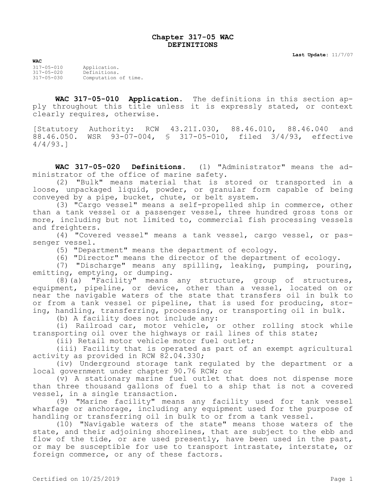## **Chapter 317-05 WAC DEFINITIONS**

**Last Update:** 11/7/07

**WAC** 317-05-010 Application. 317-05-020 Definitions. Computation of time.

**WAC 317-05-010 Application.** The definitions in this section apply throughout this title unless it is expressly stated, or context clearly requires, otherwise.

[Statutory Authority: RCW 43.21I.030, 88.46.010, 88.46.040 and 88.46.050. WSR 93-07-004, § 317-05-010, filed 3/4/93, effective 4/4/93.]

**WAC 317-05-020 Definitions.** (1) "Administrator" means the administrator of the office of marine safety.

(2) "Bulk" means material that is stored or transported in a loose, unpackaged liquid, powder, or granular form capable of being conveyed by a pipe, bucket, chute, or belt system.

(3) "Cargo vessel" means a self-propelled ship in commerce, other than a tank vessel or a passenger vessel, three hundred gross tons or more, including but not limited to, commercial fish processing vessels and freighters.

(4) "Covered vessel" means a tank vessel, cargo vessel, or passenger vessel.

(5) "Department" means the department of ecology.

(6) "Director" means the director of the department of ecology.

(7) "Discharge" means any spilling, leaking, pumping, pouring, emitting, emptying, or dumping.

(8)(a) "Facility" means any structure, group of structures, equipment, pipeline, or device, other than a vessel, located on or near the navigable waters of the state that transfers oil in bulk to or from a tank vessel or pipeline, that is used for producing, storing, handling, transferring, processing, or transporting oil in bulk.

(b) A facility does not include any:

(i) Railroad car, motor vehicle, or other rolling stock while transporting oil over the highways or rail lines of this state;

(ii) Retail motor vehicle motor fuel outlet;

(iii) Facility that is operated as part of an exempt agricultural activity as provided in RCW 82.04.330;

(iv) Underground storage tank regulated by the department or a local government under chapter 90.76 RCW; or

(v) A stationary marine fuel outlet that does not dispense more than three thousand gallons of fuel to a ship that is not a covered vessel, in a single transaction.

(9) "Marine facility" means any facility used for tank vessel wharfage or anchorage, including any equipment used for the purpose of handling or transferring oil in bulk to or from a tank vessel.

(10) "Navigable waters of the state" means those waters of the state, and their adjoining shorelines, that are subject to the ebb and flow of the tide, or are used presently, have been used in the past, or may be susceptible for use to transport intrastate, interstate, or foreign commerce, or any of these factors.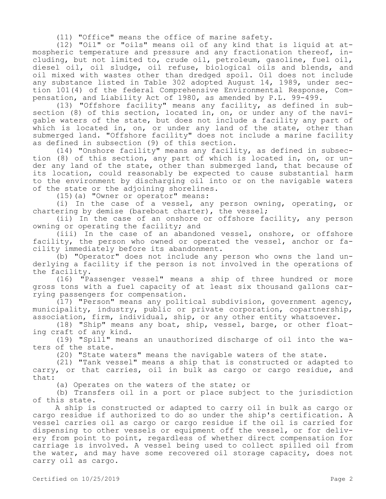(11) "Office" means the office of marine safety.

(12) "Oil" or "oils" means oil of any kind that is liquid at atmospheric temperature and pressure and any fractionation thereof, including, but not limited to, crude oil, petroleum, gasoline, fuel oil, diesel oil, oil sludge, oil refuse, biological oils and blends, and oil mixed with wastes other than dredged spoil. Oil does not include any substance listed in Table 302 adopted August 14, 1989, under section 101(4) of the federal Comprehensive Environmental Response, Compensation, and Liability Act of 1980, as amended by P.L. 99-499.

(13) "Offshore facility" means any facility, as defined in subsection (8) of this section, located in, on, or under any of the navigable waters of the state, but does not include a facility any part of which is located in, on, or under any land of the state, other than submerged land. "Offshore facility" does not include a marine facility as defined in subsection (9) of this section.

(14) "Onshore facility" means any facility, as defined in subsection (8) of this section, any part of which is located in, on, or under any land of the state, other than submerged land, that because of its location, could reasonably be expected to cause substantial harm to the environment by discharging oil into or on the navigable waters of the state or the adjoining shorelines.

(15)(a) "Owner or operator" means:

(i) In the case of a vessel, any person owning, operating, or chartering by demise (bareboat charter), the vessel;

(ii) In the case of an onshore or offshore facility, any person owning or operating the facility; and

(iii) In the case of an abandoned vessel, onshore, or offshore facility, the person who owned or operated the vessel, anchor or facility immediately before its abandonment.

(b) "Operator" does not include any person who owns the land underlying a facility if the person is not involved in the operations of the facility.

(16) "Passenger vessel" means a ship of three hundred or more gross tons with a fuel capacity of at least six thousand gallons carrying passengers for compensation.

(17) "Person" means any political subdivision, government agency, municipality, industry, public or private corporation, copartnership, association, firm, individual, ship, or any other entity whatsoever.

(18) "Ship" means any boat, ship, vessel, barge, or other floating craft of any kind.

(19) "Spill" means an unauthorized discharge of oil into the waters of the state.

(20) "State waters" means the navigable waters of the state.

(21) "Tank vessel" means a ship that is constructed or adapted to carry, or that carries, oil in bulk as cargo or cargo residue, and that:

(a) Operates on the waters of the state; or

(b) Transfers oil in a port or place subject to the jurisdiction of this state.

A ship is constructed or adapted to carry oil in bulk as cargo or cargo residue if authorized to do so under the ship's certification. A vessel carries oil as cargo or cargo residue if the oil is carried for dispensing to other vessels or equipment off the vessel, or for delivery from point to point, regardless of whether direct compensation for carriage is involved. A vessel being used to collect spilled oil from the water, and may have some recovered oil storage capacity, does not carry oil as cargo.